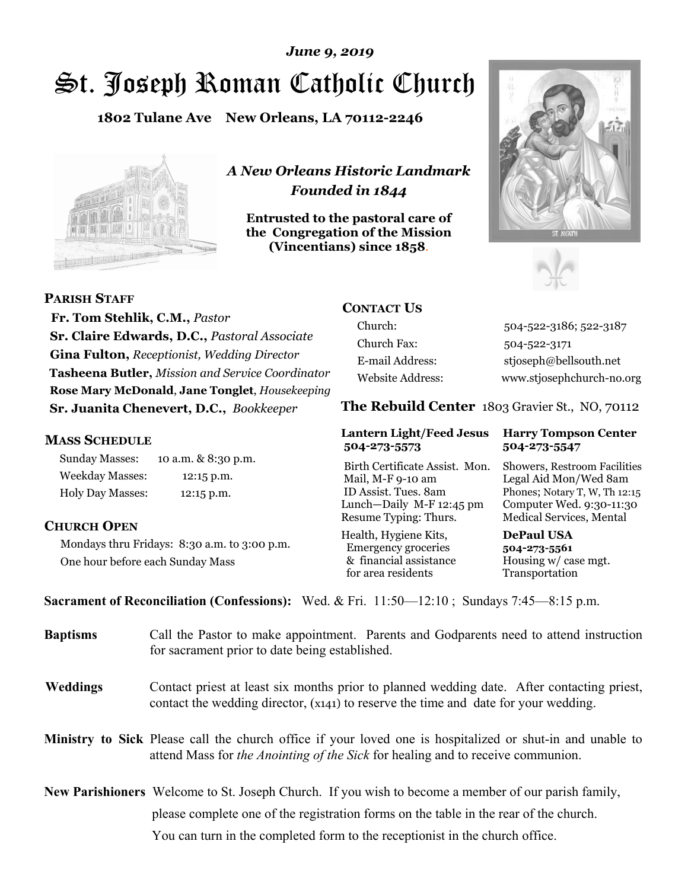## St. Joseph Roman Catholic Church *June 9, 2019*

**1802 Tulane Ave New Orleans, LA 70112-2246**



*A New Orleans Historic Landmark Founded in 1844* 

**Entrusted to the pastoral care of the Congregation of the Mission (Vincentians) since 1858**.





**PARISH STAFF**

 **Fr. Tom Stehlik, C.M.,** *Pastor* **Sr. Claire Edwards, D.C.,** *Pastoral Associate* **Gina Fulton,** *Receptionist, Wedding Director* **Tasheena Butler,** *Mission and Service Coordinator* **Rose Mary McDonald**, **Jane Tonglet**, *Housekeeping* **Sr. Juanita Chenevert, D.C.,** *Bookkeeper* 

### **MASS SCHEDULE**

Sunday Masses: 10 a.m. & 8:30 p.m. Weekday Masses: 12:15 p.m. Holy Day Masses: 12:15 p.m.

### **CHURCH OPEN**

Mondays thru Fridays: 8:30 a.m. to 3:00 p.m. One hour before each Sunday Mass

### **CONTACT US**

Church: 504-522-3186; 522-3187 Church Fax: 504-522-3171 E-mail Address: stjoseph@bellsouth.net Website Address: www.stjosephchurch-no.org

**The Rebuild Center** 1803 Gravier St., NO, 70112

### **Lantern Light/Feed Jesus Harry Tompson Center 504-273-5573 504-273-5547**

Birth Certificate Assist. Mon. Showers, Restroom Facilities Mail, M-F 9-10 am Legal Aid Mon/Wed 8am ID Assist. Tues. 8am Phones; Notary T, W, Th 12:15 Lunch—Daily M-F 12:45 pm Computer Wed. 9:30-11:30 Resume Typing: Thurs. Medical Services, Mental

Health, Hygiene Kits, **DePaul USA**  Emergency groceries **504-273-5561** & financial assistance Housing w/ case mgt.<br>for area residents Transportation for area residents

**Sacrament of Reconciliation (Confessions):** Wed. & Fri. 11:50—12:10 ; Sundays 7:45—8:15 p.m.

| <b>Baptisms</b> | Call the Pastor to make appointment. Parents and Godparents need to attend instruction<br>for sacrament prior to date being established.                                                            |  |
|-----------------|-----------------------------------------------------------------------------------------------------------------------------------------------------------------------------------------------------|--|
| <b>Weddings</b> | Contact priest at least six months prior to planned wedding date. After contacting priest,<br>contact the wedding director, (x141) to reserve the time and date for your wedding.                   |  |
|                 | <b>Ministry to Sick</b> Please call the church office if your loved one is hospitalized or shut-in and unable to<br>attend Mass for the Anointing of the Sick for healing and to receive communion. |  |
|                 | <b>New Parishioners</b> Welcome to St. Joseph Church. If you wish to become a member of our parish family,                                                                                          |  |
|                 | please complete one of the registration forms on the table in the rear of the church.                                                                                                               |  |
|                 | You can turn in the completed form to the reception is the church office.                                                                                                                           |  |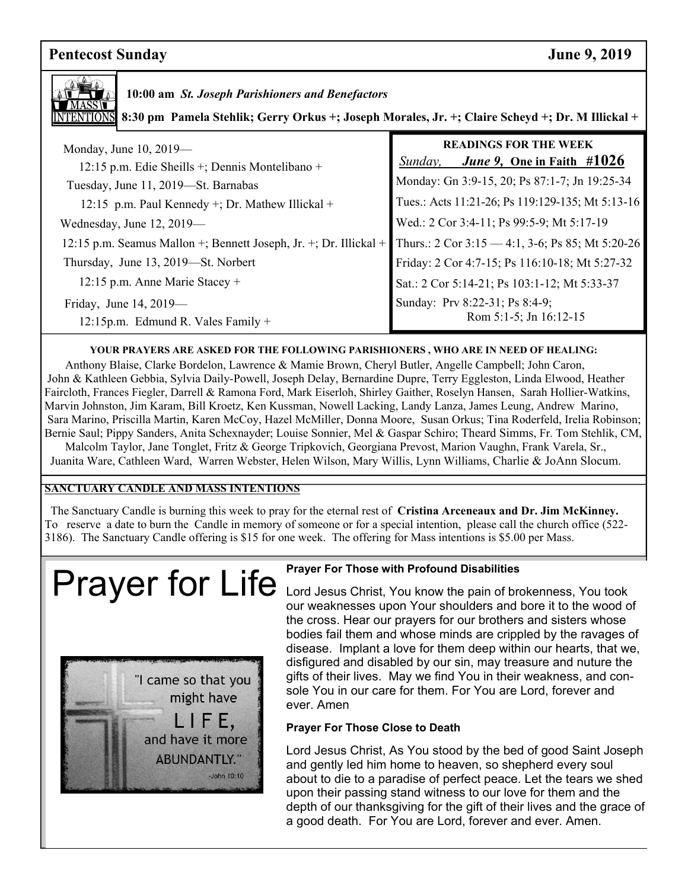## **Pentecost Sunday June 9, 2019**



 **10:00 am** *St. Joseph Parishioners and Benefactors*

**8:30 pm Pamela Stehlik; Gerry Orkus +; Joseph Morales, Jr. +; Claire Scheyd +; Dr. M Illickal +**

| Monday, June 10, 2019—<br>12:15 p.m. Edie Sheills +; Dennis Montelibano + | <b>READINGS FOR THE WEEK</b><br><i>June 9, One in Faith <math>#1026</math></i><br>Sunday, |
|---------------------------------------------------------------------------|-------------------------------------------------------------------------------------------|
| Tuesday, June 11, 2019-St. Barnabas                                       | Monday: Gn 3:9-15, 20; Ps 87:1-7; Jn 19:25-34                                             |
| 12:15 p.m. Paul Kennedy +; Dr. Mathew Illickal +                          | Tues.: Acts 11:21-26; Ps 119:129-135; Mt 5:13-16                                          |
| Wednesday, June 12, 2019-                                                 | Wed.: 2 Cor 3:4-11; Ps 99:5-9; Mt 5:17-19                                                 |
| 12:15 p.m. Seamus Mallon +; Bennett Joseph, Jr. +; Dr. Illickal +         | Thurs.: 2 Cor $3:15 - 4:1$ , 3-6; Ps 85; Mt 5:20-26                                       |
| Thursday, June 13, 2019—St. Norbert                                       | Friday: 2 Cor 4:7-15; Ps 116:10-18; Mt 5:27-32                                            |
| 12:15 p.m. Anne Marie Stacey +                                            | Sat.: 2 Cor 5:14-21; Ps 103:1-12; Mt 5:33-37                                              |
| Friday, June 14, $2019$ —<br>12:15p.m. Edmund R. Vales Family $+$         | Sunday: Prv 8:22-31; Ps 8:4-9;<br>Rom 5:1-5; Jn 16:12-15                                  |

### **YOUR PRAYERS ARE ASKED FOR THE FOLLOWING PARISHIONERS , WHO ARE IN NEED OF HEALING:**

 Anthony Blaise, Clarke Bordelon, Lawrence & Mamie Brown, Cheryl Butler, Angelle Campbell; John Caron, John & Kathleen Gebbia, Sylvia Daily-Powell, Joseph Delay, Bernardine Dupre, Terry Eggleston, Linda Elwood, Heather Faircloth, Frances Fiegler, Darrell & Ramona Ford, Mark Eiserloh, Shirley Gaither, Roselyn Hansen, Sarah Hollier-Watkins, Marvin Johnston, Jim Karam, Bill Kroetz, Ken Kussman, Nowell Lacking, Landy Lanza, James Leung, Andrew Marino, Sara Marino, Priscilla Martin, Karen McCoy, Hazel McMiller, Donna Moore, Susan Orkus; Tina Roderfeld, Irelia Robinson; Bernie Saul; Pippy Sanders, Anita Schexnayder; Louise Sonnier, Mel & Gaspar Schiro; Theard Simms, Fr. Tom Stehlik, CM, Malcolm Taylor, Jane Tonglet, Fritz & George Tripkovich, Georgiana Prevost, Marion Vaughn, Frank Varela, Sr.,

Juanita Ware, Cathleen Ward, Warren Webster, Helen Wilson, Mary Willis, Lynn Williams, Charlie & JoAnn Slocum.

### **SANCTUARY CANDLE AND MASS INTENTIONS**

 The Sanctuary Candle is burning this week to pray for the eternal rest of **Cristina Arceneaux and Dr. Jim McKinney.**  To reserve a date to burn the Candle in memory of someone or for a special intention, please call the church office (522- 3186). The Sanctuary Candle offering is \$15 for one week. The offering for Mass intentions is \$5.00 per Mass.

# Prayer for Life **Lord Jesus Christ, You know the pain of bro**



the cross. Hear our prayers for our brothers and sisters whose Lord Jesus Christ, You know the pain of brokenness, You took our weaknesses upon Your shoulders and bore it to the wood of bodies fail them and whose minds are crippled by the ravages of disease. Implant a love for them deep within our hearts, that we, disfigured and disabled by our sin, may treasure and nuture the gifts of their lives. May we find You in their weakness, and console You in our care for them. For You are Lord, forever and ever. Amen

### **Prayer For Those Close to Death**

Lord Jesus Christ, As You stood by the bed of good Saint Joseph and gently led him home to heaven, so shepherd every soul about to die to a paradise of perfect peace. Let the tears we shed upon their passing stand witness to our love for them and the depth of our thanksgiving for the gift of their lives and the grace of a good death. For You are Lord, forever and ever. Amen.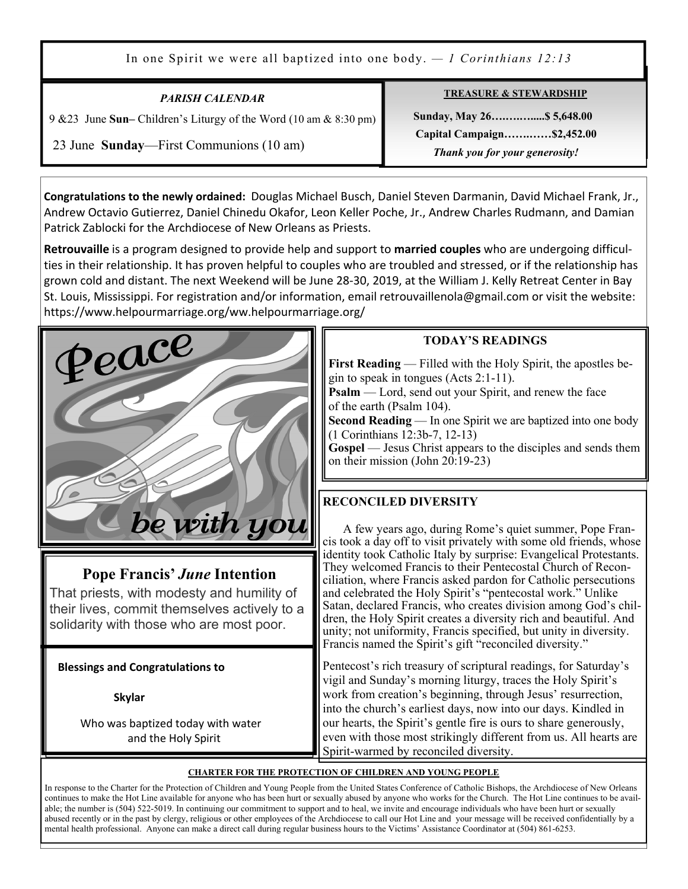In one Spirit we were all baptized into one body. *— 1 Corinthians 12:13* 

| <b>PARISH CALENDAR</b>                                                                                      | <b>TREASURE &amp; STEWARDSHIP</b>                                                         |
|-------------------------------------------------------------------------------------------------------------|-------------------------------------------------------------------------------------------|
| 9 & 23 June Sun-Children's Liturgy of the Word (10 am & 8:30 pm)<br>23 June Sunday—First Communions (10 am) | Sunday, May 26 \$5,648.00<br>Capital Campaign\$2,452.00<br>Thank you for your generosity! |

**Congratulations to the newly ordained:** Douglas Michael Busch, Daniel Steven Darmanin, David Michael Frank, Jr., Andrew Octavio Gutierrez, Daniel Chinedu Okafor, Leon Keller Poche, Jr., Andrew Charles Rudmann, and Damian Patrick Zablocki for the Archdiocese of New Orleans as Priests.

**Retrouvaille** is a program designed to provide help and support to **married couples** who are undergoing difficulties in their relationship. It has proven helpful to couples who are troubled and stressed, or if the relationship has grown cold and distant. The next Weekend will be June 28-30, 2019, at the William J. Kelly Retreat Center in Bay St. Louis, Mississippi. For registration and/or information, email retrouvaillenola@gmail.com or visit the website: https://www.helpourmarriage.org/ww.helpourmarriage.org/



Ξ

### **Pope Francis'** *June* **Intention**

That priests, with modesty and humility of their lives, commit themselves actively to a solidarity with those who are most poor.

 **Blessings and Congratulations to** 

 **Skylar** 

 Who was baptized today with water and the Holy Spirit

### **TODAY'S READINGS**

**First Reading** — Filled with the Holy Spirit, the apostles begin to speak in tongues (Acts 2:1-11).

**Psalm** — Lord, send out your Spirit, and renew the face of the earth (Psalm 104).

**Second Reading** — In one Spirit we are baptized into one body (1 Corinthians 12:3b-7, 12-13)

**Gospel** — Jesus Christ appears to the disciples and sends them on their mission (John 20:19-23)

### **RECONCILED DIVERSITY**

A few years ago, during Rome's quiet summer, Pope Francis took a day off to visit privately with some old friends, whose identity took Catholic Italy by surprise: Evangelical Protestants. They welcomed Francis to their Pentecostal Church of Reconciliation, where Francis asked pardon for Catholic persecutions and celebrated the Holy Spirit's "pentecostal work." Unlike Satan, declared Francis, who creates division among God's children, the Holy Spirit creates a diversity rich and beautiful. And unity; not uniformity, Francis specified, but unity in diversity. Francis named the Spirit's gift "reconciled diversity."

Pentecost's rich treasury of scriptural readings, for Saturday's vigil and Sunday's morning liturgy, traces the Holy Spirit's work from creation's beginning, through Jesus' resurrection, into the church's earliest days, now into our days. Kindled in our hearts, the Spirit's gentle fire is ours to share generously, even with those most strikingly different from us. All hearts are Spirit-warmed by reconciled diversity.

### **CHARTER FOR THE PROTECTION OF CHILDREN AND YOUNG PEOPLE**

In response to the Charter for the Protection of Children and Young People from the United States Conference of Catholic Bishops, the Archdiocese of New Orleans continues to make the Hot Line available for anyone who has been hurt or sexually abused by anyone who works for the Church. The Hot Line continues to be available; the number is (504) 522-5019. In continuing our commitment to support and to heal, we invite and encourage individuals who have been hurt or sexually abused recently or in the past by clergy, religious or other employees of the Archdiocese to call our Hot Line and your message will be received confidentially by a mental health professional. Anyone can make a direct call during regular business hours to the Victims' Assistance Coordinator at (504) 861-6253.